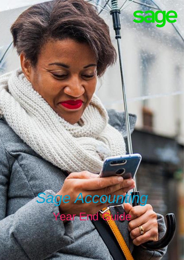# sage

## *Sage Accounting* Year End Guide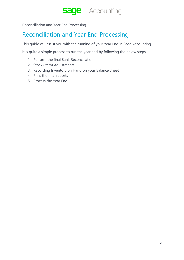

Reconciliation and Year End Processing

## Reconciliation and Year End Processing

This guide will assist you with the running of your Year End in Sage Accounting.

It is quite a simple process to run the year end by following the below steps:

- 1. Perform the final Bank Reconciliation
- 2. Stock (Item) Adjustments
- 3. Recording Inventory on Hand on your Balance Sheet
- 4. Print the final reports
- 5. Process the Year End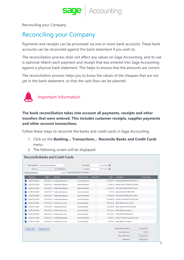Reconciling your Company

## Reconciling your Company

Payments and receipts can be processed via one or more bank accounts. These bank accounts can be reconciled against the bank statement if you wish to.

The reconciliation process does not affect any values on Sage Accounting, and its use is optional. Match each payment and receipt that was entered into Sage Accounting against a physical bank statement. This helps to ensure that the amounts are correct.

The reconciliation process helps you to know the values of the cheques that are not yet in the bank statement, so that the cash flow can be planned.



Important Information

**The bank reconciliation takes into account all payments, receipts and other transfers that were entered. This includes customer receipts, supplier payments and other account transactions.**

Follow these steps to reconcile the banks and credit cards in Sage Accounting

- 1. Click on the **Banking… Transactions… Reconcile Banks and Credit Cards** menu.
- 2. The following screen will be displayed:

| <b>Bank Account</b>      | Supercycle Wholesales SA   |                                | From Date                       |            | 01/12/2018   |                                        |                |
|--------------------------|----------------------------|--------------------------------|---------------------------------|------------|--------------|----------------------------------------|----------------|
| Balance                  |                            | R 3,720,039.93                 | To Date                         |            | 31/01/2019 同 |                                        |                |
| <b>Statement Balance</b> |                            | R0.00                          | Display Reconciled Transactions |            |              |                                        |                |
| Reference                | Date $\blacktriangleright$ | <b>Selection</b>               | Document Type                   | Reconciled | Total        | <b>Description</b>                     | Cust/Supp Ref. |
| 20190129-0001            |                            | 29/01/2019 Unallocated Expense | Account Payment                 | H          |              | R-9,204.75 FNB OB 000003993 PROJETECH  |                |
| 20190122-0004            |                            | 22/01/2019 Unallocated Expense | Account Payment                 |            |              | R-589.95 AANKP ACDC EXPRESS CENTUR     |                |
| 20190122-0003            |                            | 22/01/2019 Unallocated Expense | Account Payment                 |            |              | R-2,992.50 FNB OB 000003990 EXOTIC SPI |                |
| 20190119-0005            |                            | 19/01/2019 Unallocated Expense | Account Payment                 | - 1        |              | R-0.74 #VALUE ADDED SERV FEES          |                |
| 20190118-0001            |                            | 18/01/2019 Unallocated Expense | Account Payment                 | n          |              | R-3.000.00 FNB OB TRF 000003981 CASH 1 |                |
| 20190117-0001            |                            | 17/01/2019 Unallocated Expense | Account Payment                 |            |              | R-4,685.38 AANKP C*MAIZEY PLASTICS 485 |                |
| 20190115-0001            |                            | 15/01/2019 Unallocated Income  | Account Receipt                 | H          |              | R 7.530.56 ABSA BANK Fanatics 5074     |                |
| 20190114-0001            |                            | 14/01/2019 Unallocated Income  | Account Receipt                 | H          |              | R 1,026.00 ABSA BANK ROHA DYECHEM      |                |
| 20190109-0001            |                            | 09/01/2019 Unallocated Income  | Account Receipt                 |            |              | R 2.250.00 ABSA BANK Cosmederm         |                |
| 20190108-0003            |                            | 08/01/2019 Unallocated Income  | Account Receipt                 |            |              | R 5.073.00 FNB OB PMT REMANCOS         |                |
| 20190102-0014            |                            | 02/01/2019 Unallocated Expense | Account Payment                 | n.         |              | R-189.24 AANKP Non Ferrous Metal Pr485 |                |
| 20190101-0026            |                            | 01/01/2019 Unallocated Income  | Account Receipt                 | - 1        |              | R 315.00 ABSA BANK Cosmederm           |                |
| <b>Select All</b>        | <b>Deselect All</b>        |                                |                                 |            |              | <b>Reconciled Previously</b>           | R-415,224.17   |
|                          |                            |                                |                                 |            |              | <b>Reconciled Now</b>                  | R0.00          |
|                          |                            |                                |                                 |            |              | <b>Reconciled Total</b>                | R-415.224.17   |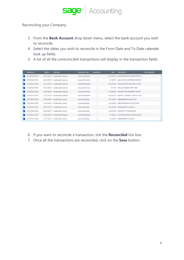#### Reconciling your Company

- 3. From the **Bank Account** drop down menu, select the bank account you wish to reconcile.
- 4. Select the dates you wish to reconcile in the From Date and To Date calendar look up fields.
- 5. A list of all the unreconciled transactions will display in the transaction fields.

| Reference     | Date $\blacktriangledown$ | <b>Selection</b>               | Document Type          | <b>Reconciled</b> | <b>Total</b> | <b>Description</b>                     | Cust/Supp Ref. |  |
|---------------|---------------------------|--------------------------------|------------------------|-------------------|--------------|----------------------------------------|----------------|--|
| 20190129-0001 |                           | 29/01/2019 Unallocated Expense | <b>Account Payment</b> |                   |              | R-9.204.75 FNB OB 000003993 PROJETECH  |                |  |
| 20190122-0004 |                           | 22/01/2019 Unallocated Expense | Account Payment        |                   |              | R-589 95 AANKP ACDC EXPRESS CENTUR     |                |  |
| 20190122-0003 |                           | 22/01/2019 Unallocated Expense | <b>Account Payment</b> |                   |              | R-2.992.50 FNB OB 000003990 EXOTIC SPI |                |  |
| 20190119-0005 |                           | 19/01/2019 Unallocated Expense | Account Payment        |                   |              | R-0.74 #VALUE ADDED SERV FEES          |                |  |
| 20190118-0001 |                           | 18/01/2019 Unallocated Expense | <b>Account Payment</b> |                   |              | R-3,000.00 FNB OB TRF 000003981 CASH 1 |                |  |
| 20190117-0001 |                           | 17/01/2019 Unallocated Expense | <b>Account Payment</b> |                   |              | R-4,685.38 AANKP C*MAIZEY PLASTICS 485 |                |  |
| 20190115-0001 |                           | 15/01/2019 Unallocated Income  | <b>Account Receipt</b> |                   |              | R 7.530.56 ABSA BANK Fanatics 5074     |                |  |
| 20190114-0001 |                           | 14/01/2019 Unallocated Income  | <b>Account Receipt</b> |                   |              | R 1.026.00 ABSA BANK ROHA DYECHEM      |                |  |
| 20190109-0001 |                           | 09/01/2019 Unallocated Income  | <b>Account Receipt</b> |                   |              | R 2.250.00 ABSA BANK Cosmederm         |                |  |
| 20190108-0003 |                           | 08/01/2019 Unallocated Income  | <b>Account Receipt</b> |                   |              | R 5.073.00 FNB OB PMT REMANCOS         |                |  |
| 20190102-0014 |                           | 02/01/2019 Unallocated Expense | Account Payment        |                   |              | R-189.24 AANKP Non Ferrous Metal Pr485 |                |  |
| 20190101-0026 |                           | 01/01/2019 Unallocated Income  | <b>Account Receipt</b> |                   |              | R 315.00 ABSA BANK Cosmederm           |                |  |

- 6. If you want to reconcile a transaction, tick the **Reconciled** tick box.
- 7. Once all the transactions are reconciled, click on the **Save** button.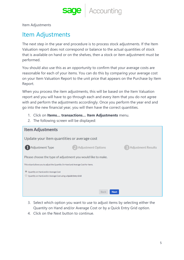Item Adjustments

## Item Adjustments

The next step in the year end procedure is to process stock adjustments. If the Item Valuation report does not correspond or balance to the actual quantities of stock that is available on hand or on the shelves, then a stock or item adjustment must be performed.

You should also use this as an opportunity to confirm that your average costs are reasonable for each of your items. You can do this by comparing your average cost on your Item Valuation Report to the unit price that appears on the Purchase by Item Report.

When you process the item adjustments, this will be based on the Item Valuation report and you will have to go through each and every item that you do not agree with and perform the adjustments accordingly. Once you perform the year end and go into the new financial year, you will then have the correct quantities.

- 1. Click on **Items… transactions… Item Adjustments** menu.
- 2. The following screen will be displayed:

| <b>Item Adjustments</b>                                                                                                      |                            |                           |  |  |  |  |
|------------------------------------------------------------------------------------------------------------------------------|----------------------------|---------------------------|--|--|--|--|
| Update your item quantities or average cost                                                                                  |                            |                           |  |  |  |  |
| <b>Adjustment Type</b>                                                                                                       | <b>Adjustment Options</b>  | <b>Adjustment Results</b> |  |  |  |  |
| Please choose the type of adjustment you would like to make.                                                                 |                            |                           |  |  |  |  |
| This wizard allows you to adjust the Quantity On Hand and Average Cost for Items.                                            |                            |                           |  |  |  |  |
| $\circledcirc$<br>Quantity on Hand and/or Average Cost<br>Quantity on Hand and/or Average Cost using a Quick Entry Grid<br>U |                            |                           |  |  |  |  |
|                                                                                                                              | <b>Back</b><br><b>Next</b> |                           |  |  |  |  |

- 3. Select which option you want to use to adjust items by selecting either the Quantity on Hand and/or Average Cost or by a Quick Entry Grid option.
- 4. Click on the Next button to continue.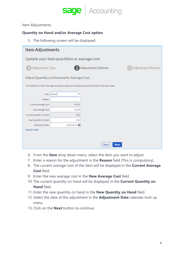

#### Item Adjustments

#### **Quantity on Hand and/or Average Cost option**

5. The following screen will be displayed:

| <b>Item Adjustments</b>                     |                                              |                                                                                                          |                           |  |  |  |  |
|---------------------------------------------|----------------------------------------------|----------------------------------------------------------------------------------------------------------|---------------------------|--|--|--|--|
| Update your item quantities or average cost |                                              |                                                                                                          |                           |  |  |  |  |
| Adjustment Type                             |                                              | <b>Adjustment Options</b>                                                                                | <b>Adjustment Results</b> |  |  |  |  |
|                                             | Adjust Quantity on Hand and/or Average Cost. |                                                                                                          |                           |  |  |  |  |
|                                             |                                              | For Quantity On Hand / Average cost, enter a reason for the adjustment and then enter in the new values. |                           |  |  |  |  |
| Item                                        | (None)<br>▼                                  |                                                                                                          |                           |  |  |  |  |
| Reason                                      |                                              |                                                                                                          |                           |  |  |  |  |
| Current Average Cost                        | R0.00                                        |                                                                                                          |                           |  |  |  |  |
| New Average Cost                            | R0.00                                        |                                                                                                          |                           |  |  |  |  |
| Current Quantity On Hand                    | 0.00                                         |                                                                                                          |                           |  |  |  |  |
| New Quantity On Hand                        | 0.00                                         |                                                                                                          |                           |  |  |  |  |
| Adjustment Date                             | 01/02/2019                                   |                                                                                                          |                           |  |  |  |  |
| <b>Analysis Codes</b>                       |                                              |                                                                                                          |                           |  |  |  |  |
|                                             |                                              |                                                                                                          |                           |  |  |  |  |
|                                             |                                              | <b>Next</b><br><b>Back</b>                                                                               |                           |  |  |  |  |

- 6. From the **Item** drop down menu, select the item you want to adjust.
- 7. Enter a reason for the adjustment in the **Reason** field (This is compulsory).
- 8. The current average cost of the item will be displayed in the **Current Average Cost** field.
- 9. Enter the new average cost in the **New Average Cost** field.
- 10. The current quantity on hand will be displayed in the **Current Quantity on Hand** field.
- 11. Enter the new quantity on hand in the **New Quantity on Hand** field.
- 12. Select the date of the adjustment in the **Adjustment Date** calendar look up menu.
- 13. Click on the **Next** button to continue.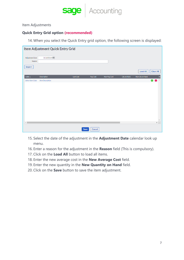

Item Adjustments

#### **Quick Entry Grid option (recommended)**

14. When you select the Quick Entry grid option, the following screen is displayed:

|                           | Item Adjustment Quick Entry Grid |           |          |              |             |                 |                  |
|---------------------------|----------------------------------|-----------|----------|--------------|-------------|-----------------|------------------|
| Adjustment Date<br>Reason | 31/12/2018                       |           |          |              |             |                 |                  |
| Import                    |                                  |           |          |              |             |                 |                  |
|                           |                                  |           |          |              |             | <b>Load All</b> | <b>Clear All</b> |
| Code $\triangle$          | <b>Description</b>               | Last Cost | Avg Cost | New Avg Cost | Qty on Hand | New Qty on Hand | Br<br>出          |
| Select Item Code          | <b>Item Description</b>          |           |          |              |             |                 | $\bullet$        |
|                           |                                  |           |          |              |             |                 |                  |
|                           |                                  |           |          |              |             |                 |                  |
|                           |                                  |           |          |              |             |                 |                  |
|                           |                                  |           |          |              |             |                 |                  |
|                           |                                  |           |          |              |             |                 |                  |
|                           |                                  |           |          |              |             |                 |                  |
|                           |                                  |           |          |              |             |                 |                  |
|                           |                                  |           |          |              |             |                 |                  |
|                           |                                  |           |          |              |             |                 |                  |
|                           |                                  |           |          |              |             |                 |                  |
| $\leftarrow$              |                                  |           |          |              |             |                 | $\mathbb F$      |
|                           |                                  | Save      | Cancel   |              |             |                 |                  |

- 15. Select the date of the adjustment in the **Adjustment Date** calendar look up menu.
- 16. Enter a reason for the adjustment in the **Reason** field (This is compulsory).
- 17. Click on the **Load All** button to load all items.
- 18. Enter the new average cost in the **New Average Cost** field.
- 19. Enter the new quantity in the **New Quantity on Hand** field.
- 20. Click on the **Save** button to save the item adjustment.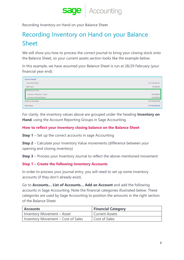

Recording Inventory on Hand on your Balance Sheet

## Recording Inventory on Hand on your Balance Sheet

We will show you how to process the correct journal to bring your closing stock onto the Balance Sheet, so your current assets section looks like the example below.

In this example, we have assumed your Balance Sheet is run at 28/29 February (your financial year end):

| <b>Current Assets</b>             |                 |
|-----------------------------------|-----------------|
| <b>Trade Receivables</b>          | R 37,556,695.60 |
| Staff Loans                       | R 5,000.00      |
| Inventory on Hand                 |                 |
| <b>Inventory Movement - Asset</b> | R 65,000.00     |
| <b>Inventory Opening Balance</b>  | R 10,000.00     |
| <b>Total Current Assets</b>       | R 37,636,695.60 |
| <b>Total Assets</b>               | R 37,636,695.60 |

For clarity, the inventory values above are grouped under the heading **Inventory on Hand**, using the Account Reporting Groups in Sage Accounting.

#### **How to reflect your Inventory closing balance on the Balance Sheet**

**Step 1** – Set up the correct accounts in sage Accounting

**Step 2** – Calculate your Inventory Value movements (difference between your opening and closing inventory)

**Step 3** – Process your Inventory Journal to reflect the above-mentioned movement

#### **Step 1 – Create the following Inventory Accounts**

In order to process your journal entry, you will need to set up some inventory accounts (if they don't already exist).

Go to **Accounts… List of Accounts… Add an Account** and add the following accounts in Sage Accounting. Note the financial categories illustrated below. These categories are used by Sage Accounting to position the amounts in the right section of the Balance Sheet.

| <b>Accounts</b>                    | <b>Financial Category</b> |
|------------------------------------|---------------------------|
| Inventory Movement - Asset         | <b>Current Assets</b>     |
| Inventory Movement - Cost of Sales | Cost of Sales             |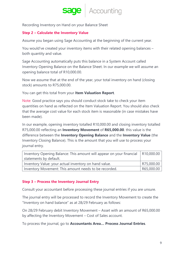Recording Inventory on Hand on your Balance Sheet

#### **Step 2 – Calculate the Inventory Value**

Assume you began using Sage Accounting at the beginning of the current year.

You would've created your inventory items with their related opening balances – both quantity and value.

Sage Accounting automatically puts this balance in a System Account called Inventory Opening Balance on the Balance Sheet. In our example we will assume an opening balance total of R10,000.00.

Now we assume that at the end of the year, your total inventory on hand (closing stock) amounts to R75,000.00.

You can get this total from your **Item Valuation Report**.

Note: Good practice says you should conduct stock take to check your item quantities on hand as reflected on the Item Valuation Report. You should also check that the average cost value for each stock item is reasonable (in case mistakes have been made).

In our example, opening inventory totalled R10,000.00 and closing inventory totalled R75,000.00 reflecting an **Inventory Movement** of **R65,000.00**. this value is the difference between the **Inventory Opening Balance** and the **Inventory Value** (the Inventory Closing Balance). This is the amount that you will use to process your journal entry.

| Inventory Opening Balance: This amount will appear on your financial   R10,000.00 |            |
|-----------------------------------------------------------------------------------|------------|
| statements by default.                                                            |            |
| Inventory Value: your actual inventory on hand value.                             | R75,000.00 |
| Inventory Movement: This amount needs to be recorded.                             | R65,000.00 |

#### **Step 3 – Process the Inventory Journal Entry**

Consult your accountant before processing these journal entries if you are unsure.

The journal entry will be processed to record the Inventory Movement to create the "Inventory on hand balance" as at 28/29 February as follows:

On 28/29 February debit Inventory Movement – Asset with an amount of R65,000.00 by affecting the Inventory Movement – Cost of Sales account.

To process the journal, go to **Accountants Area… Process Journal Entries**.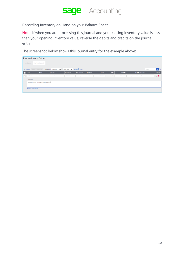

Recording Inventory on Hand on your Balance Sheet

Note: If when you are processing this journal and your closing inventory value is less than your opening inventory value, reverse the debits and credits on the journal entry.

The screenshot below shows this journal entry for the example above:

|                                          | <b>Process Journal Entries</b>                                                                                                                                        |                                                     |                            |            |                          |                 |               |            |                  |                                    |                    |
|------------------------------------------|-----------------------------------------------------------------------------------------------------------------------------------------------------------------------|-----------------------------------------------------|----------------------------|------------|--------------------------|-----------------|---------------|------------|------------------|------------------------------------|--------------------|
| <b>Reviewed Journals</b><br>New Journals |                                                                                                                                                                       |                                                     |                            |            |                          |                 |               |            |                  |                                    |                    |
|                                          | $\alpha$ $\sigma$<br><b>■ То</b> 28/02/2018<br><b>III</b> Refresh<br>$\sqrt{\phantom{a}}$ Actions<br>Delete Batch Edit<br>Search<br>Display From 28/02/2018<br>Export |                                                     |                            |            |                          |                 |               |            |                  |                                    |                    |
|                                          | <b>Date</b>                                                                                                                                                           | <b>Effect</b>                                       | <b>Account</b>             | Reference  | <b>Description</b>       | <b>VAT Type</b> | <b>Amount</b> | <b>VAT</b> | <b>Incl. VAT</b> | by Affecting Acc.                  | <b>Actions</b>     |
|                                          | 28/02/2018                                                                                                                                                            | Debit                                               | Inventory Movement - Asset | JNL-FEB004 | <b>Inventory Journal</b> | No VAT          | R 65,000.00   | R0.00      | R 65,000.00      | Inventory Movement - Cost of Sales | $\vee$ / $\bullet$ |
|                                          | <b>Comments</b>                                                                                                                                                       |                                                     |                            |            |                          |                 |               |            |                  |                                    |                    |
|                                          |                                                                                                                                                                       | recording Inventory on Hand as at 28 February 2018. |                            |            |                          |                 |               |            |                  |                                    |                    |
|                                          |                                                                                                                                                                       |                                                     |                            |            |                          |                 |               |            |                  |                                    |                    |
|                                          | <b>Show User Defined Fields</b>                                                                                                                                       |                                                     |                            |            |                          |                 |               |            |                  |                                    |                    |
|                                          |                                                                                                                                                                       |                                                     |                            |            |                          |                 |               |            |                  |                                    |                    |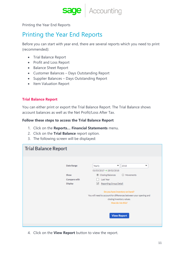**sage** | Accounting

Printing the Year End Reports

## Printing the Year End Reports

Before you can start with year end, there are several reports which you need to print (recommended):

- Trial Balance Report
- Profit and Loss Report
- Balance Sheet Report
- Customer Balances Days Outstanding Report
- Supplier Balances Days Outstanding Report
- Item Valuation Report

#### **Trial Balance Report**

You can either print or export the Trial Balance Report. The Trial Balance shows account balances as well as the Net Profit/Loss After Tax.

#### **Follow these steps to access the Trial Balance Report**

- 1. Click on the **Reports… Financial Statements** menu.
- 2. Click on the **Trial Balance** report option.
- 3. The following screen will be displayed:

| <b>Trial Balance Report</b>            |                                                                                                                                                       |
|----------------------------------------|-------------------------------------------------------------------------------------------------------------------------------------------------------|
| Date Range                             | ▼<br>2018<br>▼<br>Yearly<br>01/03/2017 → 28/02/2018                                                                                                   |
| Show<br>Compare with<br><b>Display</b> | Closing Balances<br>Movements<br>Last Year<br>Reporting Group Detail<br>$\sqrt{}$                                                                     |
|                                        | Do you have inventory on hand?<br>You will need to account for differences between your opening and<br>closing inventory values.<br>How do I do this? |
|                                        | <b>View Report</b>                                                                                                                                    |

4. Click on the **View Report** button to view the report.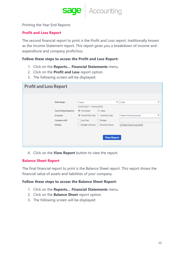**sage** | Accounting

Printing the Year End Reports

#### **Profit and Loss Report**

The second financial report to print is the Profit and Loss report, traditionally known as the Income Statement report. This report gives you a breakdown of income and expenditure and company profit/loss.

#### **Follow these steps to access the Profit and Loss Report:**

- 1. Click on the **Reports… Financial Statements** menu.
- 2. Click on the **Profit and Loss** report option.
- 3. The following screen will be displayed:

| <b>Profit and Loss Report</b> |                                                               |                                  |                                                              |
|-------------------------------|---------------------------------------------------------------|----------------------------------|--------------------------------------------------------------|
| Date Range                    | Yearly                                                        |                                  | $\overline{\phantom{a}}$<br>2018<br>$\overline{\phantom{a}}$ |
| Cost of Sales based on        | $01/03/2017 \rightarrow 28/02/2018$<br><sup>O</sup> Purchases | ○ Sales                          |                                                              |
| Group by                      | ◎ Month/Qtr/Year ● Analysis Code                              |                                  | (Select Month/Quarter)<br>▼                                  |
| Compare with                  | Last Year                                                     | Budget                           |                                                              |
| <b>Display</b>                |                                                               | Budget Variance   Decimal Values | Reporting Group Detail                                       |
|                               |                                                               |                                  |                                                              |
|                               |                                                               | <b>View Report</b>               |                                                              |
|                               |                                                               |                                  |                                                              |

4. Click on the **View Report** button to view the report.

#### **Balance Sheet Report**

The final financial report to print is the Balance Sheet report. This report shows the financial value of assets and liabilities of your company.

#### **Follow these steps to access the Balance Sheet Report:**

- 1. Click on the **Reports… Financial Statements** menu.
- 2. Click on the **Balance Sheet** report option.
- 3. The following screen will be displayed: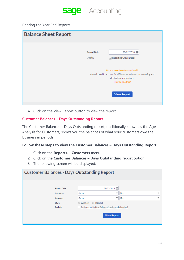

#### Printing the Year End Reports

| <b>Balance Sheet Report</b> |                    |                                                                                                                                                                             |
|-----------------------------|--------------------|-----------------------------------------------------------------------------------------------------------------------------------------------------------------------------|
|                             | <b>Run At Date</b> | 28/02/2018                                                                                                                                                                  |
|                             | Display            | Reporting Group Detail                                                                                                                                                      |
|                             |                    | Do you have inventory on hand?<br>You will need to account for differences between your opening and<br>closing inventory values.<br>How do I do this?<br><b>View Report</b> |

4. Click on the View Report button to view the report.

#### **Customer Balances – Days Outstanding Report**

The Customer Balances – Days Outstanding report, traditionally known as the Age Analysis for Customers, shows you the balances of what your customers owe the business in periods.

#### **Follow these steps to view the Customer Balances – Days Outstanding Report**

- 1. Click on the **Reports… Customers** menu.
- 2. Click on the **Customer Balances – Days Outstanding** report option.
- 3. The following screen will be displayed:

| <b>Customer Balances - Days Outstanding Report</b> |                                                                                                                  |                                                                         |  |
|----------------------------------------------------|------------------------------------------------------------------------------------------------------------------|-------------------------------------------------------------------------|--|
| <b>Run At Date</b><br>Customer<br>Category         | 28/02/2018<br>▼<br>(From)<br>$\overline{\phantom{a}}$<br>(From)                                                  | (T <sub>O</sub> )<br>$\overline{\phantom{a}}$<br>(T <sub>O</sub> )<br>▼ |  |
| Style<br>Exclude                                   | Detailed<br>Summary<br>$\bigcirc$<br>Customers with Zero Balances (invoices not allocated)<br><b>View Report</b> |                                                                         |  |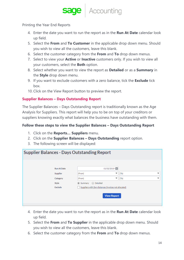**sage** Accounting

Printing the Year End Reports

- 4. Enter the date you want to run the report as in the **Run At Date** calendar look up field.
- 5. Select the **From** and **To Customer** in the applicable drop down menu. Should you wish to view all the customers, leave this blank.
- 6. Select the customer category from the **From** and **To** drop down menus.
- 7. Select to view your **Active** or **Inactive** customers only. If you wish to view all your customers, select the **Both** option.
- 8. Select whether you want to view the report as **Detailed** or as a **Summary** in the **Style** drop down menu.
- 9. If you want to exclude customers with a zero balance, tick the **Exclude** tick box.
- 10. Click on the View Report button to preview the report.

#### **Supplier Balances – Days Outstanding Report**

The Supplier Balances – Days Outstanding report is traditionally known as the Age Analysis for Suppliers. This report will help you to be on top of your creditors or suppliers knowing exactly what balances the business have outstanding with them.

#### **Follow these steps to view the Supplier Balances – Days Outstanding Report**

- 1. Click on the **Reports… Suppliers** menu.
- 2. Click on the **Supplier Balances – Days Outstanding** report option.
- 3. The following screen will be displayed:

| <b>Supplier Balances - Days Outstanding Report</b>             |                                                                                                                                                                        |                                                  |  |
|----------------------------------------------------------------|------------------------------------------------------------------------------------------------------------------------------------------------------------------------|--------------------------------------------------|--|
| <b>Run At Date</b><br>Supplier<br>Category<br>Style<br>Exclude | 01/02/2019<br>(From)<br>$\overline{\phantom{a}}$<br>(From)<br>▼<br>● Summary ● Detailed<br>Suppliers with Zero Balances (invoices not allocated)<br><b>View Report</b> | (T <sub>O</sub> )<br>▼<br>(T <sub>O</sub> )<br>▼ |  |
|                                                                |                                                                                                                                                                        |                                                  |  |

- 4. Enter the date you want to run the report as in the **Run At Date** calendar look up field.
- 5. Select the **From** and **To Supplier** in the applicable drop down menu. Should you wish to view all the customers, leave this blank.
- 6. Select the customer category from the **From** and **To** drop down menus.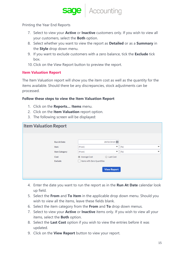Printing the Year End Reports

- 7. Select to view your **Active** or **Inactive** customers only. If you wish to view all your customers, select the **Both** option.
- 8. Select whether you want to view the report as **Detailed** or as a **Summary** in the **Style** drop down menu.
- 9. If you want to exclude customers with a zero balance, tick the **Exclude** tick box.
- 10. Click on the View Report button to preview the report.

#### **Item Valuation Report**

The Item Valuation report will show you the item cost as well as the quantity for the items available. Should there be any discrepancies, stock adjustments can be processed.

#### **Follow these steps to view the Item Valuation Report**

- 1. Click on the **Reports… Items** menu.
- 2. Click on the **Item Valuation** report option.
- 3. The following screen will be displayed:

| <b>Item Valuation Report</b> |                                                                       |                                                                                |                                                                                                         |                                        |        |
|------------------------------|-----------------------------------------------------------------------|--------------------------------------------------------------------------------|---------------------------------------------------------------------------------------------------------|----------------------------------------|--------|
|                              | <b>Run At Date</b><br>Item<br><b>Item Category</b><br>Cost<br>Exclude | (From)<br>(From)<br>Average Cost<br>Items with Zero Quantities<br>$\mathbf{1}$ | 28/02/2018<br>$\overline{\phantom{a}}$<br>$\overline{\phantom{a}}$<br>C Last Cost<br><b>View Report</b> | (T <sub>O</sub> )<br>(T <sub>O</sub> ) | ▼<br>▼ |

- 4. Enter the date you want to run the report as in the **Run At Date** calendar look up field.
- 5. Select the **From** and **To Item** in the applicable drop down menu. Should you wish to view all the items, leave these fields blank.
- 6. Select the item category from the **From** and **To** drop down menus.
- 7. Select to view your **Active** or **Inactive** items only. If you wish to view all your items, select the **Both** option.
- 8. Select the **Last Cost** option if you wish to view the entries before it was updated.
- 9. Click on the **View Report** button to view your report.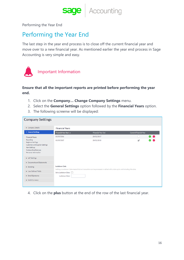**sage** | Accounting

Performing the Year End

## Performing the Year End

The last step in the year end process is to close off the current financial year and move over to a new financial year. As mentioned earlier the year end process in Sage Accounting is very simple and easy.



### Important Information

#### **Ensure that all the important reports are printed before performing the year end.**

- 1. Click on the **Company… Change Company Settings** menu.
- 2. Select the **General Settings** option followed by the **Financial Years** option.
- 3. The following screenw will be displayed:

| <b>Company Settings</b>                                                                                                                        |                                                                                                                                                |                           |                        |                     |  |  |
|------------------------------------------------------------------------------------------------------------------------------------------------|------------------------------------------------------------------------------------------------------------------------------------------------|---------------------------|------------------------|---------------------|--|--|
| Company Details                                                                                                                                | <b>Financial Years</b>                                                                                                                         |                           |                        |                     |  |  |
| ▼ General Settings                                                                                                                             | Financial Year Start A                                                                                                                         | <b>Financial Year End</b> | Current Financial Year |                     |  |  |
| <b>Financial Years</b>                                                                                                                         | 01/03/2016                                                                                                                                     | 28/02/2017                |                        | $\bullet$ $\bullet$ |  |  |
| Rounding<br><b>Regional Settings</b><br>Customer and Supplier Settings<br><b>Item Settings</b><br>Outstanding Balances<br>Personal Information | 01/03/2017                                                                                                                                     | 28/02/2018                | ᢦ                      | e e                 |  |  |
| ▶ VAT Settings                                                                                                                                 |                                                                                                                                                |                           |                        |                     |  |  |
| Documents and Statements                                                                                                                       |                                                                                                                                                |                           |                        |                     |  |  |
| $\triangleright$ Branding                                                                                                                      | <b>Lockdown Date</b>                                                                                                                           |                           |                        |                     |  |  |
| <b>E</b> User Defined Fields                                                                                                                   | Setting a Lockdown Date means that no transaction can be processed or edited with a date up to and including this date.<br>Set a Lockdown Date |                           |                        |                     |  |  |
| Email Signatures                                                                                                                               | Lockdown Date                                                                                                                                  |                           |                        |                     |  |  |
| Multi-Currency                                                                                                                                 |                                                                                                                                                |                           |                        |                     |  |  |

4. Click on the **plus** button at the end of the row of the last financial year.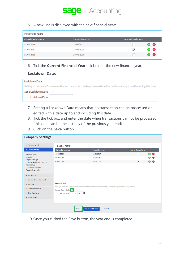

5. A new line is displayed with the next financial year:

| <b>Financial Year End</b> | <b>Current Financial Year</b> |
|---------------------------|-------------------------------|
| 28/02/2017                | 8 e                           |
| 28/02/2018                | e e                           |
| 28/02/2019                | e e                           |
|                           |                               |

6. Tick the **Current Financial Year** tick box for the new financial year.

#### **Lockdown Date:**

| <b>Lockdown Date</b>                                                                                                    |
|-------------------------------------------------------------------------------------------------------------------------|
| Setting a Lockdown Date means that no transaction can be processed or edited with a date up to and including this date. |
| Set a Lockdown Date                                                                                                     |
| Lockdown Date                                                                                                           |

- 7. Setting a Lockdown Date means that no transaction can be processed or edited with a date up to and including this date.
- 8. Tick the tick box and enter the date when transactions cannot be processed (this date can be the last day of the previous year end).
- 9. Click on the **Save** button.

| <b>Company Settings</b>                                                                |                                                                                                                                                                                                       |                                 |                          |                     |  |
|----------------------------------------------------------------------------------------|-------------------------------------------------------------------------------------------------------------------------------------------------------------------------------------------------------|---------------------------------|--------------------------|---------------------|--|
| Company Details                                                                        | <b>Financial Years</b>                                                                                                                                                                                |                                 |                          |                     |  |
| General Settings                                                                       | Financial Year Start A                                                                                                                                                                                | <b>Financial Year End</b>       | Current Financial Year   |                     |  |
| <b>Financial Years</b>                                                                 | 01/03/2016                                                                                                                                                                                            | 28/02/2017                      |                          | $\bullet$ $\bullet$ |  |
| Rounding<br><b>Regional Settings</b>                                                   | 01/03/2017                                                                                                                                                                                            | 28/02/2018                      |                          | $\bullet$ $\bullet$ |  |
| Customer and Supplier Settings                                                         | 01/03/2018                                                                                                                                                                                            | 28/02/2019                      | $\overline{\mathcal{L}}$ | $\bullet$ $\bullet$ |  |
| <b>Item Settings</b><br>Outstanding Balances<br>Personal Information<br>▶ VAT Settings |                                                                                                                                                                                                       |                                 |                          |                     |  |
| Documents and Statements                                                               |                                                                                                                                                                                                       |                                 |                          |                     |  |
| $\triangleright$ Branding                                                              | <b>Lockdown Date</b><br>Setting a Lockdown Date means that no transaction can be processed or edited with a date up to and including this date.<br>Set a Lockdown Date<br>28/02/2018<br>Lockdown Date |                                 |                          |                     |  |
| User Defined Fields                                                                    |                                                                                                                                                                                                       |                                 |                          |                     |  |
| Email Signatures                                                                       |                                                                                                                                                                                                       |                                 |                          |                     |  |
| Multi-Currency                                                                         |                                                                                                                                                                                                       |                                 |                          |                     |  |
|                                                                                        |                                                                                                                                                                                                       |                                 |                          |                     |  |
|                                                                                        | Save                                                                                                                                                                                                  | <b>Save and Close</b><br>Cancel |                          |                     |  |

10. Once you clicked the Save button, the year end is completed.